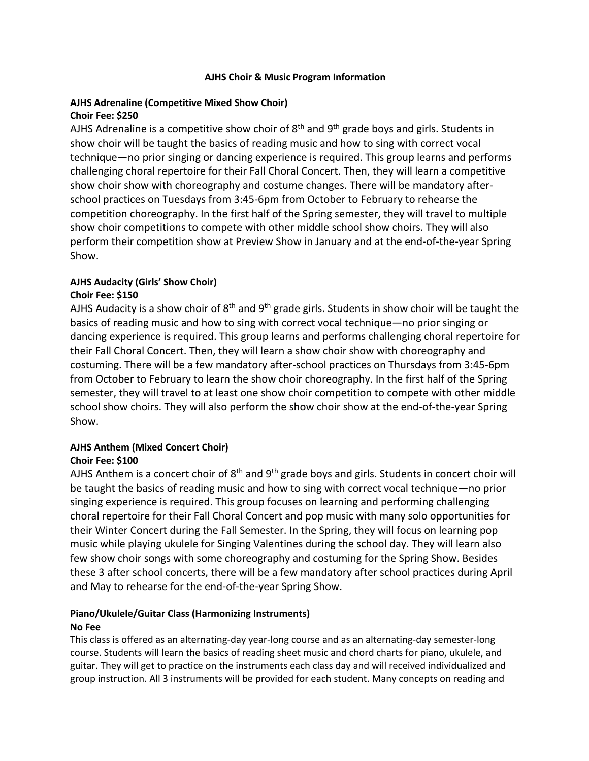#### **AJHS Choir & Music Program Information**

### **AJHS Adrenaline (Competitive Mixed Show Choir) Choir Fee: \$250**

AJHS Adrenaline is a competitive show choir of  $8<sup>th</sup>$  and  $9<sup>th</sup>$  grade boys and girls. Students in show choir will be taught the basics of reading music and how to sing with correct vocal technique—no prior singing or dancing experience is required. This group learns and performs challenging choral repertoire for their Fall Choral Concert. Then, they will learn a competitive show choir show with choreography and costume changes. There will be mandatory afterschool practices on Tuesdays from 3:45-6pm from October to February to rehearse the competition choreography. In the first half of the Spring semester, they will travel to multiple show choir competitions to compete with other middle school show choirs. They will also perform their competition show at Preview Show in January and at the end-of-the-year Spring Show.

#### **AJHS Audacity (Girls' Show Choir) Choir Fee: \$150**

AJHS Audacity is a show choir of  $8<sup>th</sup>$  and  $9<sup>th</sup>$  grade girls. Students in show choir will be taught the basics of reading music and how to sing with correct vocal technique—no prior singing or dancing experience is required. This group learns and performs challenging choral repertoire for their Fall Choral Concert. Then, they will learn a show choir show with choreography and costuming. There will be a few mandatory after-school practices on Thursdays from 3:45-6pm from October to February to learn the show choir choreography. In the first half of the Spring semester, they will travel to at least one show choir competition to compete with other middle school show choirs. They will also perform the show choir show at the end-of-the-year Spring Show.

# **AJHS Anthem (Mixed Concert Choir)**

## **Choir Fee: \$100**

AJHS Anthem is a concert choir of  $8<sup>th</sup>$  and  $9<sup>th</sup>$  grade boys and girls. Students in concert choir will be taught the basics of reading music and how to sing with correct vocal technique—no prior singing experience is required. This group focuses on learning and performing challenging choral repertoire for their Fall Choral Concert and pop music with many solo opportunities for their Winter Concert during the Fall Semester. In the Spring, they will focus on learning pop music while playing ukulele for Singing Valentines during the school day. They will learn also few show choir songs with some choreography and costuming for the Spring Show. Besides these 3 after school concerts, there will be a few mandatory after school practices during April and May to rehearse for the end-of-the-year Spring Show.

## **Piano/Ukulele/Guitar Class (Harmonizing Instruments) No Fee**

This class is offered as an alternating-day year-long course and as an alternating-day semester-long course. Students will learn the basics of reading sheet music and chord charts for piano, ukulele, and guitar. They will get to practice on the instruments each class day and will received individualized and group instruction. All 3 instruments will be provided for each student. Many concepts on reading and